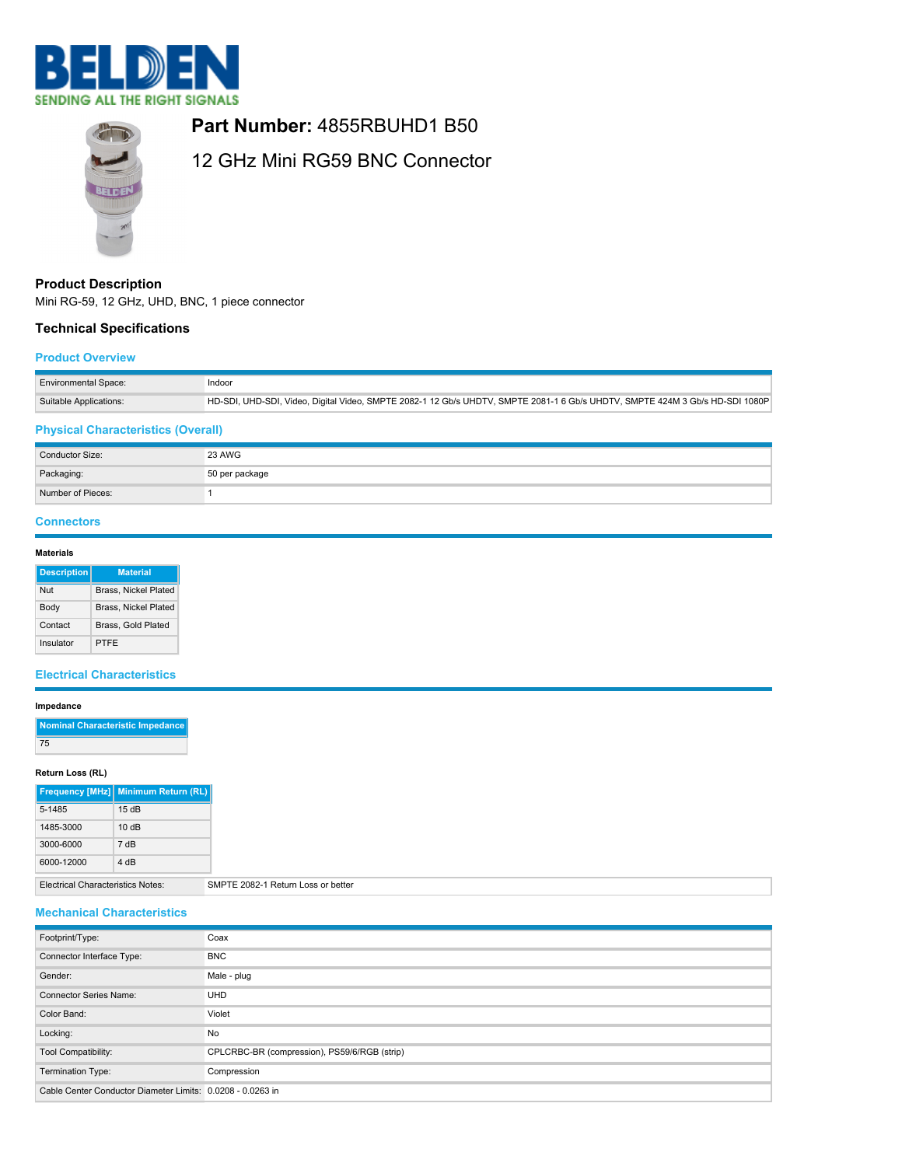



## **Part Number:** 4855RBUHD1 B50

# 12 GHz Mini RG59 BNC Connector

## **Product Description**

Mini RG-59, 12 GHz, UHD, BNC, 1 piece connector

## **Technical Specifications**

#### **Product Overview**

| <b>Environmental Space:</b> | Indoor                                                                                                                       |
|-----------------------------|------------------------------------------------------------------------------------------------------------------------------|
| Suitable Applications:      | HD-SDI, UHD-SDI, Video, Digital Video, SMPTE 2082-1 12 Gb/s UHDTV, SMPTE 2081-1 6 Gb/s UHDTV, SMPTE 424M 3 Gb/s HD-SDI 1080P |

## **Physical Characteristics (Overall)**

| Conductor Size:   | <b>23 AWG</b>  |
|-------------------|----------------|
| Packaging:        | 50 per package |
| Number of Pieces: |                |

## **Connectors**

#### **Materials**

| <b>Description</b> | <b>Material</b>             |  |
|--------------------|-----------------------------|--|
| Nut                | Brass, Nickel Plated        |  |
| Body               | <b>Brass, Nickel Plated</b> |  |
| Contact            | Brass, Gold Plated          |  |
| Insulator          | PTFF                        |  |

## **Electrical Characteristics**

#### **Impedance**

| Nominal Characteristic Impedance |
|----------------------------------|
| 75                               |

#### **Return Loss (RL)**

|            | <b>Frequency [MHz]</b> Minimum Return (RL) |
|------------|--------------------------------------------|
| 5-1485     | 15dB                                       |
| 1485-3000  | 10dB                                       |
| 3000-6000  | 7 dB                                       |
| 6000-12000 | $4$ d <sub>R</sub>                         |

## Electrical Characteristics Notes: SMPTE 2082-1 Return Loss or better

#### **Mechanical Characteristics**

| Footprint/Type:                                            | Coax                                         |
|------------------------------------------------------------|----------------------------------------------|
| Connector Interface Type:                                  | <b>BNC</b>                                   |
| Gender:                                                    | Male - plug                                  |
| <b>Connector Series Name:</b>                              | <b>UHD</b>                                   |
| Color Band:                                                | Violet                                       |
| Locking:                                                   | No                                           |
| Tool Compatibility:                                        | CPLCRBC-BR (compression), PS59/6/RGB (strip) |
| Termination Type:                                          | Compression                                  |
| Cable Center Conductor Diameter Limits: 0.0208 - 0.0263 in |                                              |